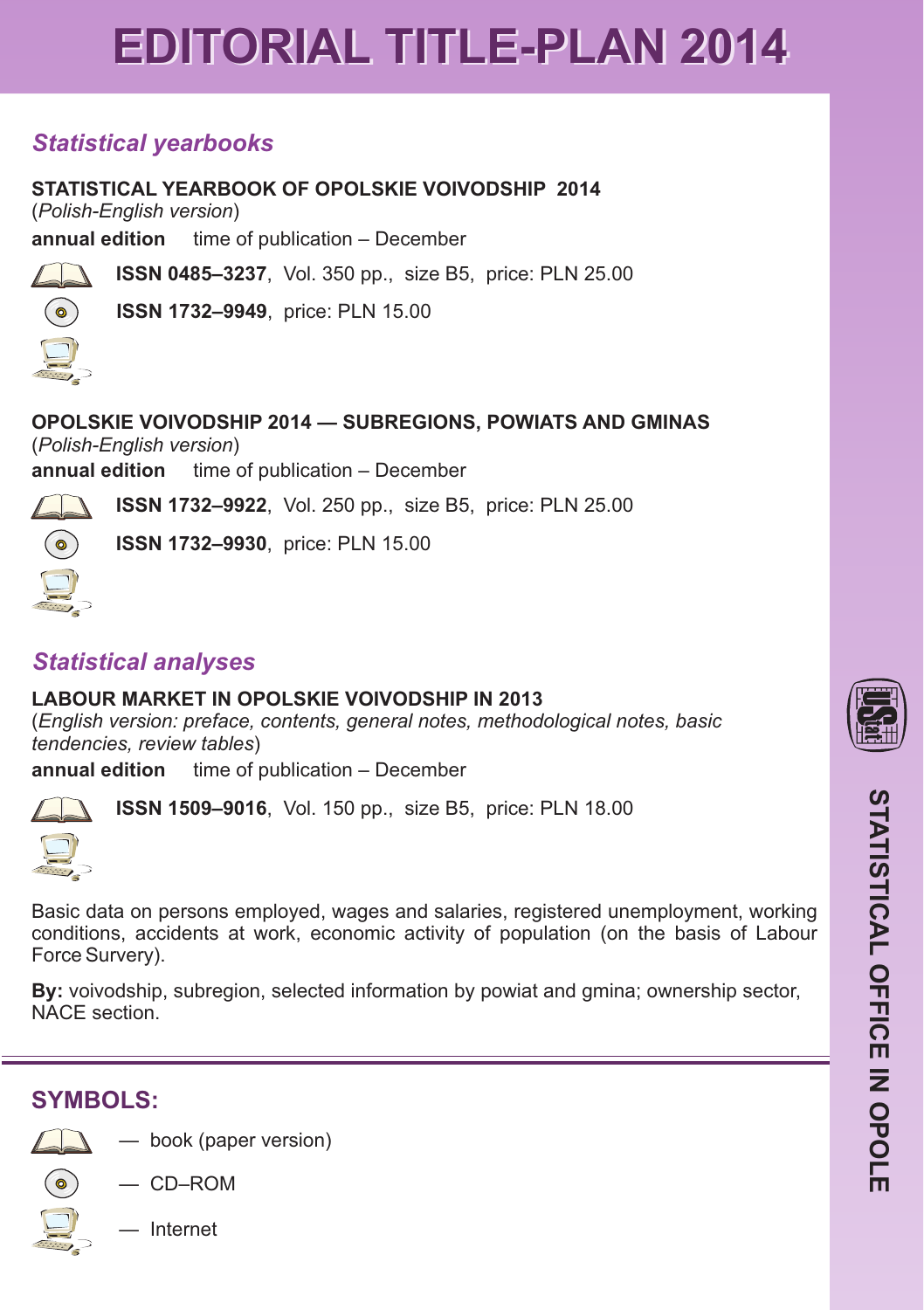## *Statistical yearbooks*

#### **STATISTICAL YEARBOOK OF OPOLSKIE VOIVODSHIP 2014**

(*Polish-English version*)

**annual edition** time of publication – December

**ISSN 0485–3237**, Vol. 350 pp., size B5, price: PLN 25.00

**ISSN 1732–9949**, price: PLN 15.00



( ෙ

**OPOLSKIE VOIVODSHIP 2014 — SUBREGIONS, POWIATS AND GMINAS**

(*Polish-English version*)

**annual edition** time of publication – December

**ISSN 1732–9922**, Vol. 250 pp., size B5, price: PLN 25.00

**ISSN 1732–9930**, price: PLN 15.00

## *Statistical analyses*

#### **LABOUR MARKET IN OPOLSKIE VOIVODSHIP IN 2013**

(*English version: preface, contents, general notes, methodological notes, basic tendencies, review tables*)

**annual edition** time of publication – December



**ISSN 1509–9016**, Vol. 150 pp., size B5, price: PLN 18.00



Basic data on persons employed, wages and salaries, registered unemployment, working conditions, accidents at work, economic activity of population (on the basis of Labour Force Survery).

**By:** voivodship, subregion, selected information by powiat and gmina; ownership sector, NACE section.

## **SYMBOLS:**

— book (paper version)



— CD–ROM



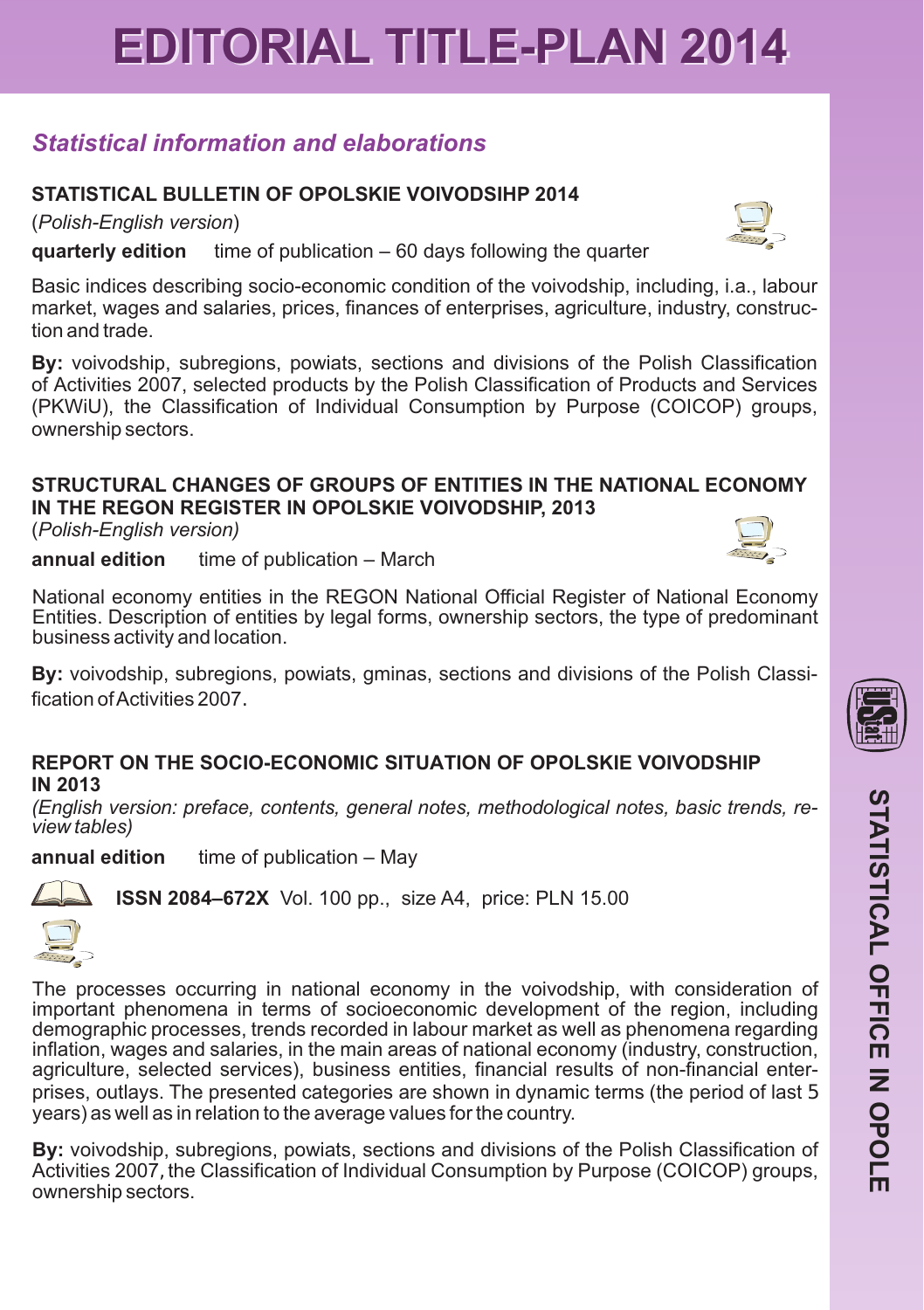### *Statistical information and elaborations*

#### STATISTICAL BULLETIN OF OPOLSKIE VOIVODSIHP 2014

(*Polish-English version*)

**quarterly edition** time of publication – 60 days following the quarter

Basic indices describing socio-economic condition of the voivodship, including, i.a., labour market, wages and salaries, prices, finances of enterprises, agriculture, industry, construction and trade.

**By:** voivodship, subregions, powiats, sections and divisions of the Polish Classification of Activities 2007, selected products by the Polish Classification of Products and Services (PKWiU), the Classification of Individual Consumption by Purpose (COICOP) groups, ownership sectors.

#### **STRUCTURAL CHANGES OF GROUPS OF ENTITIES IN THE NATIONAL ECONOMY IN THE REGON REGISTER IN OPOLSKIE VOIVODSHIP, 2013**  $\Box$

(*Polish-English version)*

**annual edition** time of publication – March

National economy entities in the REGON National Official Register of National Economy Entities. Description of entities by legal forms, ownership sectors, the type of predominant business activity and location.

**By:** voivodship, subregions, powiats, gminas, sections and divisions of the Polish Classification of Activities 2007.

#### **REPORT ON THE SOCIO-ECONOMIC SITUATION OF OPOLSKIE VOIVODSHIP IN 2013**

*(English version: preface, contents, general notes, methodological notes, basic trends, review tables)*

**annual edition** time of publication – May



**ISSN 2084–672X** Vol. 100 pp., size A4, price: PLN 15.00



The processes occurring in national economy in the voivodship, with consideration of important phenomena in terms of socioeconomic development of the region, including demographic processes, trends recorded in labour market as well as phenomena regarding inflation, wages and salaries, in the main areas of national economy (industry, construction, agriculture, selected services), business entities, financial results of non-financial enterprises, outlays. The presented categories are shown in dynamic terms (the period of last 5 years) as well as in relation to the average values for the country.

**By:** voivodship, subregions, powiats, sections and divisions of the Polish Classification of Activities 2007, the Classification of Individual Consumption by Purpose (COICOP) groups, ownership sectors.



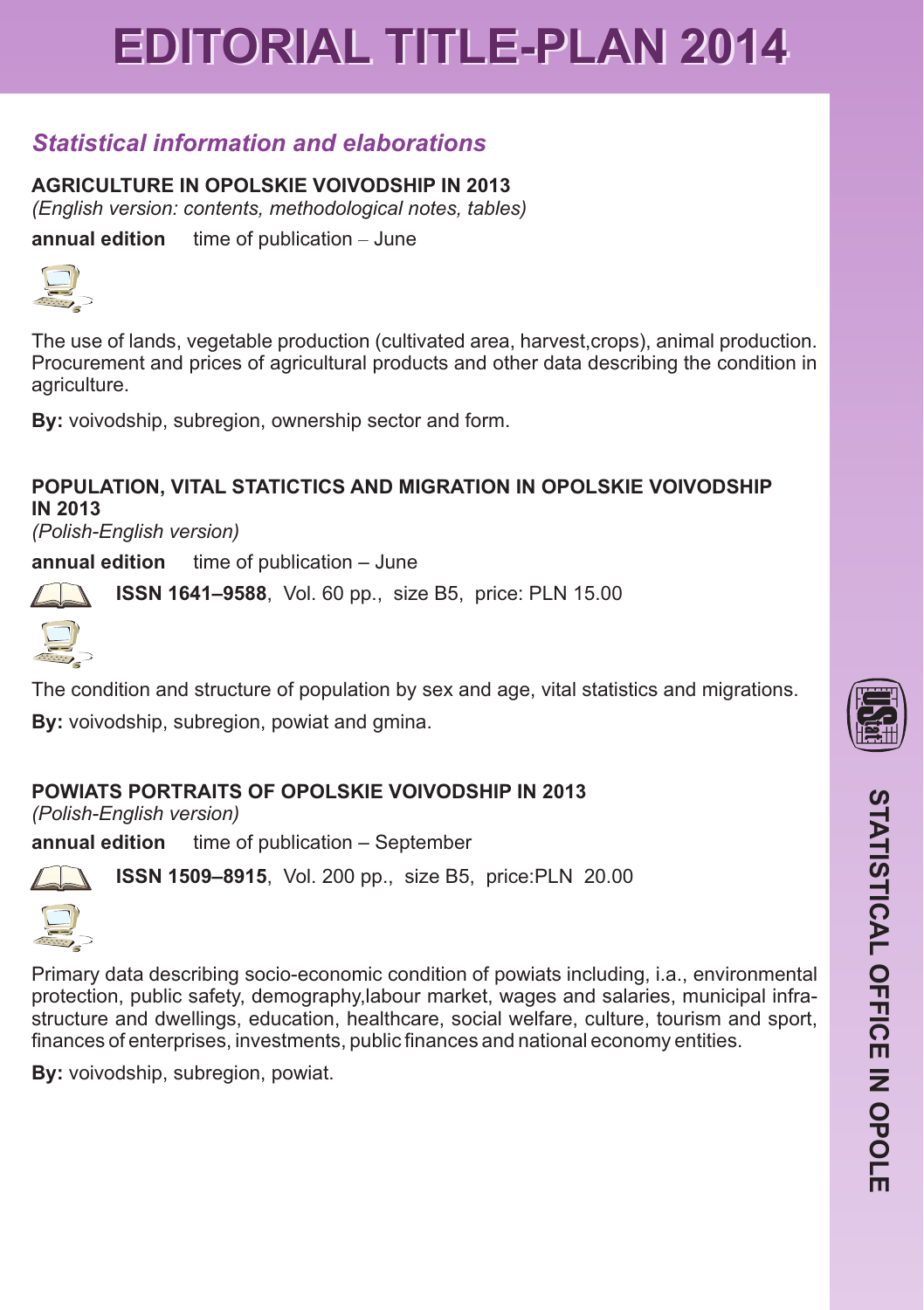### *Statistical information and elaborations*

#### **2013 AGRICULTURE IN OPOLSKIE VOIVODSHIP IN**

*( English version: contents, methodological notes, tables)*

**annual edition** time of publication – June



The use of lands, vegetable production (cultivated area, harvest,crops), animal production. Procurement and prices of agricultural products and other data describing the condition in agriculture.

**By:** voivodship, subregion, ownership sector and form.

#### **POPULATION, VITAL STATICTICS AND MIGRATION IN OPOLSKIE VOIVODSHIP**

*(Polish-English version)* **IN 2013**

**annual edition** time of publication – June

**ISSN 1641–9588**, Vol. 60 pp., size B5, price: PLN 15.00



The condition and structure of population by sex and age, vital statistics and migrations.

**By:** voivodship, subregion, powiat and gmina.

#### **POWIATS PORTRAITS OF OPOLSKIE VOIVODSHIP IN 2013**

*(Polish-English version)*

**annual edition** time of publication – September



**ISSN 1509–8915**, Vol. 200 pp., size B5, price:PLN 20.00

Primary data describing socio-economic condition of powiats including, i.a., environmental protection, public safety, demography,labour market, wages and salaries, municipal infrastructure and dwellings, education, healthcare, social welfare, culture, tourism and sport, finances of enterprises, investments, public finances and national economy entities.

**By:** voivodship, subregion, powiat.

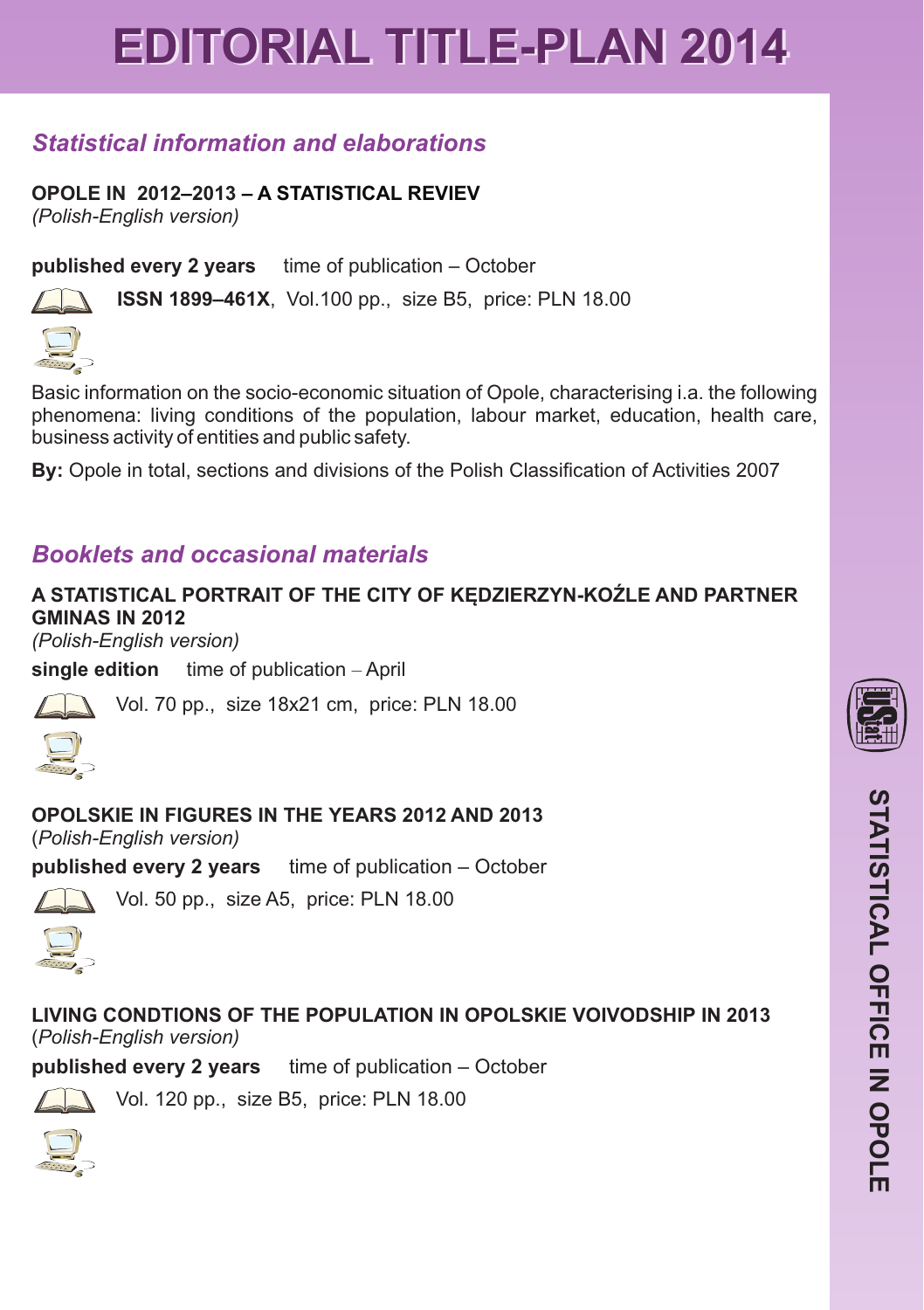### *Statistical information and elaborations*

*(Polish-English version)* **OPOLE IN 2012–2013 – A STATISTICAL REVIEV**

**published every 2 years** time of publication – October

**ISSN 1899–461X**, Vol.100 pp., size B5, price: PLN 18.00



Basic information on the socio-economic situation of Opole, characterising i.a. the following phenomena: living conditions of the population, labour market, education, health care, business activity of entities and public safety.

**By:** Opole in total, sections and divisions of the Polish Classification of Activities 2007

## *Booklets and occasional materials*

### **A STATISTICAL PORTRAIT OF THE CITY OF KÊDZIERZYN-KOLE AND PARTNER GMINAS IN 2012**

*(Polish-English version)*

**single edition** time of publication – April

Vol. 70 pp., size 18x21 cm, price: PLN 18.00



#### **OPOLSKIE IN FIGURES IN THE YEARS 2012 AND 2013**

( *Polish-English version)*

**published every 2 years** time of publication – October



Vol. 50 pp., size A5, price: PLN 18.00



( *Polish-English version)* **LIVING CONDTIONS OF THE POPULATION IN OPOLSKIE VOIVODSHIP IN 2013**

**published every 2 years** time of publication – October



 $\sim$  Vol. 120 pp., size B5, price: PLN 18.00